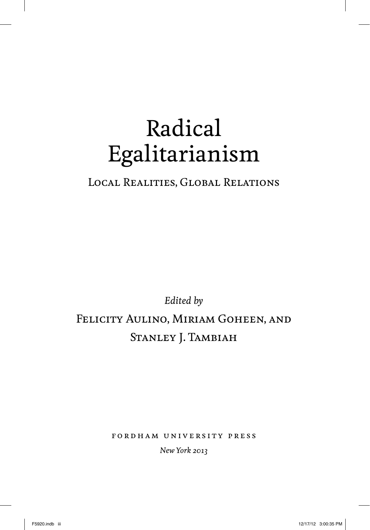# Radical Egalitarianism

### Local Realities, Global Relations

# *Edited by* Felicity Aulino, Miriam Goheen, and STANLEY J. TAMBIAH

fordham university press

*New York 2013*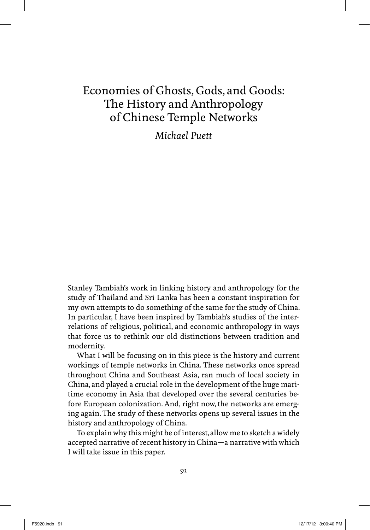## Economies of Ghosts, Gods, and Goods: The History and Anthropology of Chinese Temple Networks

*Michael Puett*

Stanley Tambiah's work in linking history and anthropology for the study of Thailand and Sri Lanka has been a constant inspiration for my own attempts to do something of the same for the study of China. In particular, I have been inspired by Tambiah's studies of the interrelations of religious, political, and economic anthropology in ways that force us to rethink our old distinctions between tradition and modernity.

What I will be focusing on in this piece is the history and current workings of temple networks in China. These networks once spread throughout China and Southeast Asia, ran much of local society in China, and played a crucial role in the development of the huge maritime economy in Asia that developed over the several centuries before European colonization. And, right now, the networks are emerging again. The study of these networks opens up several issues in the history and anthropology of China.

To explain why this might be of interest, allow me to sketch a widely accepted narrative of recent history in China—a narrative with which I will take issue in this paper.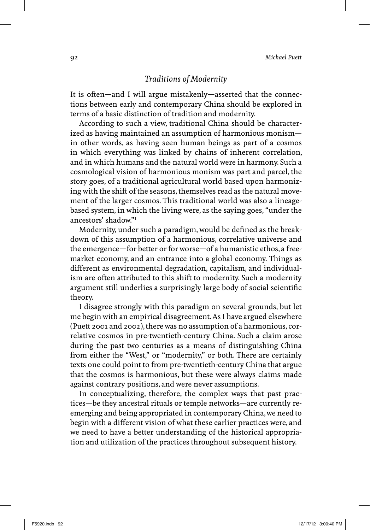#### *Traditions of Modernity*

It is often—and I will argue mistakenly—asserted that the connections between early and contemporary China should be explored in terms of a basic distinction of tradition and modernity.

According to such a view, traditional China should be characterized as having maintained an assumption of harmonious monism in other words, as having seen human beings as part of a cosmos in which everything was linked by chains of inherent correlation, and in which humans and the natural world were in harmony. Such a cosmological vision of harmonious monism was part and parcel, the story goes, of a traditional agricultural world based upon harmonizing with the shift of the seasons, themselves read as the natural movement of the larger cosmos. This traditional world was also a lineagebased system, in which the living were, as the saying goes, "under the ancestors' shadow."1

Modernity, under such a paradigm, would be defined as the breakdown of this assumption of a harmonious, correlative universe and the emergence—for better or for worse—of a humanistic ethos, a freemarket economy, and an entrance into a global economy. Things as different as environmental degradation, capitalism, and individualism are often attributed to this shift to modernity. Such a modernity argument still underlies a surprisingly large body of social scientific theory.

I disagree strongly with this paradigm on several grounds, but let me begin with an empirical disagreement. As I have argued elsewhere (Puett 2001 and 2002), there was no assumption of a harmonious, correlative cosmos in pre-twentieth-century China. Such a claim arose during the past two centuries as a means of distinguishing China from either the "West," or "modernity," or both. There are certainly texts one could point to from pre-twentieth-century China that argue that the cosmos is harmonious, but these were always claims made against contrary positions, and were never assumptions.

In conceptualizing, therefore, the complex ways that past practices—be they ancestral rituals or temple networks—are currently reemerging and being appropriated in contemporary China, we need to begin with a different vision of what these earlier practices were, and we need to have a better understanding of the historical appropriation and utilization of the practices throughout subsequent history.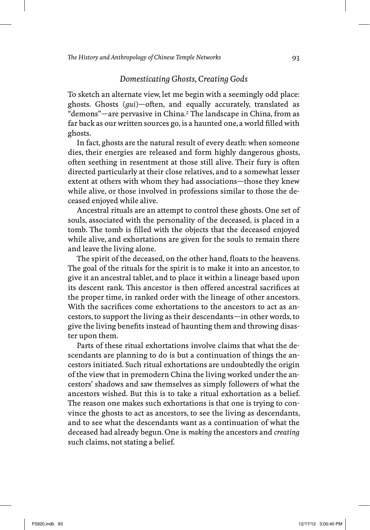#### *Domesticating Ghosts, Creating Gods*

To sketch an alternate view, let me begin with a seemingly odd place: ghosts. Ghosts (*gui*)-often, and equally accurately, translated as "demons"—are pervasive in China.2 The landscape in China, from as far back as our written sources go, is a haunted one, a world filled with ghosts.

In fact, ghosts are the natural result of every death: when someone dies, their energies are released and form highly dangerous ghosts, often seething in resentment at those still alive. Their fury is often directed particularly at their close relatives, and to a somewhat lesser extent at others with whom they had associations—those they knew while alive, or those involved in professions similar to those the deceased enjoyed while alive.

Ancestral rituals are an attempt to control these ghosts. One set of souls, associated with the personality of the deceased, is placed in a tomb. The tomb is filled with the objects that the deceased enjoyed while alive, and exhortations are given for the souls to remain there and leave the living alone.

The spirit of the deceased, on the other hand, floats to the heavens. The goal of the rituals for the spirit is to make it into an ancestor, to give it an ancestral tablet, and to place it within a lineage based upon its descent rank. This ancestor is then offered ancestral sacrifices at the proper time, in ranked order with the lineage of other ancestors. With the sacrifices come exhortations to the ancestors to act as ancestors, to support the living as their descendants—in other words, to give the living benefits instead of haunting them and throwing disaster upon them.

Parts of these ritual exhortations involve claims that what the descendants are planning to do is but a continuation of things the ancestors initiated. Such ritual exhortations are undoubtedly the origin of the view that in premodern China the living worked under the ancestors' shadows and saw themselves as simply followers of what the ancestors wished. But this is to take a ritual exhortation as a belief. The reason one makes such exhortations is that one is trying to convince the ghosts to act as ancestors, to see the living as descendants, and to see what the descendants want as a continuation of what the deceased had already begun. One is *making* the ancestors and *creating* such claims, not stating a belief.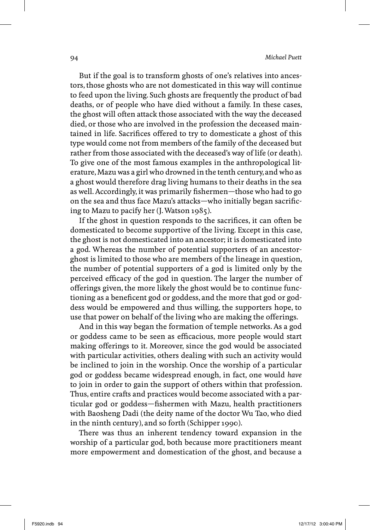But if the goal is to transform ghosts of one's relatives into ancestors, those ghosts who are not domesticated in this way will continue to feed upon the living. Such ghosts are frequently the product of bad deaths, or of people who have died without a family. In these cases, the ghost will often attack those associated with the way the deceased died, or those who are involved in the profession the deceased maintained in life. Sacrifices offered to try to domesticate a ghost of this type would come not from members of the family of the deceased but rather from those associated with the deceased's way of life (or death). To give one of the most famous examples in the anthropological literature, Mazu was a girl who drowned in the tenth century, and who as a ghost would therefore drag living humans to their deaths in the sea as well. Accordingly, it was primarily fishermen—those who had to go on the sea and thus face Mazu's attacks—who initially began sacrificing to Mazu to pacify her (J. Watson 1985).

If the ghost in question responds to the sacrifices, it can often be domesticated to become supportive of the living. Except in this case, the ghost is not domesticated into an ancestor; it is domesticated into a god. Whereas the number of potential supporters of an ancestorghost is limited to those who are members of the lineage in question, the number of potential supporters of a god is limited only by the perceived efficacy of the god in question. The larger the number of offerings given, the more likely the ghost would be to continue functioning as a beneficent god or goddess, and the more that god or goddess would be empowered and thus willing, the supporters hope, to use that power on behalf of the living who are making the offerings.

And in this way began the formation of temple networks. As a god or goddess came to be seen as efficacious, more people would start making offerings to it. Moreover, since the god would be associated with particular activities, others dealing with such an activity would be inclined to join in the worship. Once the worship of a particular god or goddess became widespread enough, in fact, one would *have* to join in order to gain the support of others within that profession. Thus, entire crafts and practices would become associated with a particular god or goddess-fishermen with Mazu, health practitioners with Baosheng Dadi (the deity name of the doctor Wu Tao, who died in the ninth century), and so forth (Schipper 1990).

There was thus an inherent tendency toward expansion in the worship of a particular god, both because more practitioners meant more empowerment and domestication of the ghost, and because a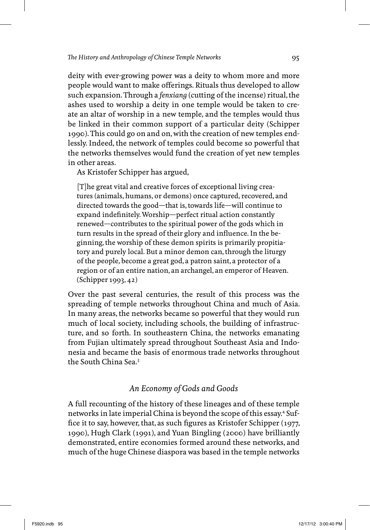deity with ever-growing power was a deity to whom more and more people would want to make offerings. Rituals thus developed to allow such expansion. Through a *fenxiang* (cutting of the incense) ritual, the ashes used to worship a deity in one temple would be taken to create an altar of worship in a new temple, and the temples would thus be linked in their common support of a particular deity (Schipper 1990). This could go on and on, with the creation of new temples endlessly. Indeed, the network of temples could become so powerful that the networks themselves would fund the creation of yet new temples in other areas.

As Kristofer Schipper has argued,

[T]he great vital and creative forces of exceptional living creatures (animals, humans, or demons) once captured, recovered, and directed towards the good—that is, towards life—will continue to expand indefinitely. Worship—perfect ritual action constantly renewed—contributes to the spiritual power of the gods which in turn results in the spread of their glory and influence. In the beginning, the worship of these demon spirits is primarily propitiatory and purely local. But a minor demon can, through the liturgy of the people, become a great god, a patron saint, a protector of a region or of an entire nation, an archangel, an emperor of Heaven. (Schipper 1993, 42)

Over the past several centuries, the result of this process was the spreading of temple networks throughout China and much of Asia. In many areas, the networks became so powerful that they would run much of local society, including schools, the building of infrastructure, and so forth. In southeastern China, the networks emanating from Fujian ultimately spread throughout Southeast Asia and Indonesia and became the basis of enormous trade networks throughout the South China Sea.3

#### *An Economy of Gods and Goods*

A full recounting of the history of these lineages and of these temple networks in late imperial China is beyond the scope of this essay.<sup>4</sup> Suffice it to say, however, that, as such figures as Kristofer Schipper  $(1977, 198)$ 1990), Hugh Clark (1991), and Yuan Bingling (2000) have brilliantly demonstrated, entire economies formed around these networks, and much of the huge Chinese diaspora was based in the temple networks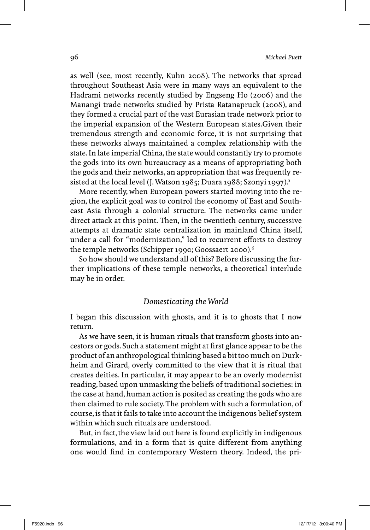as well (see, most recently, Kuhn 2008). The networks that spread throughout Southeast Asia were in many ways an equivalent to the Hadrami networks recently studied by Engseng Ho (2006) and the Manangi trade networks studied by Prista Ratanapruck (2008), and they formed a crucial part of the vast Eurasian trade network prior to the imperial expansion of the Western European states.Given their tremendous strength and economic force, it is not surprising that these networks always maintained a complex relationship with the state. In late imperial China, the state would constantly try to promote the gods into its own bureaucracy as a means of appropriating both the gods and their networks, an appropriation that was frequently resisted at the local level (J. Watson 1985; Duara 1988; Szonyi 1997).<sup>5</sup>

More recently, when European powers started moving into the region, the explicit goal was to control the economy of East and Southeast Asia through a colonial structure. The networks came under direct attack at this point. Then, in the twentieth century, successive attempts at dramatic state centralization in mainland China itself, under a call for "modernization," led to recurrent efforts to destroy the temple networks (Schipper 1990; Goossaert 2000).<sup>6</sup>

So how should we understand all of this? Before discussing the further implications of these temple networks, a theoretical interlude may be in order.

#### *Domesticating the World*

I began this discussion with ghosts, and it is to ghosts that I now return.

As we have seen, it is human rituals that transform ghosts into ancestors or gods. Such a statement might at first glance appear to be the product of an anthropological thinking based a bit too much on Durkheim and Girard, overly committed to the view that it is ritual that creates deities. In particular, it may appear to be an overly modernist reading, based upon unmasking the beliefs of traditional societies: in the case at hand, human action is posited as creating the gods who are then claimed to rule society. The problem with such a formulation, of course, is that it fails to take into account the indigenous belief system within which such rituals are understood.

But, in fact, the view laid out here is found explicitly in indigenous formulations, and in a form that is quite different from anything one would find in contemporary Western theory. Indeed, the pri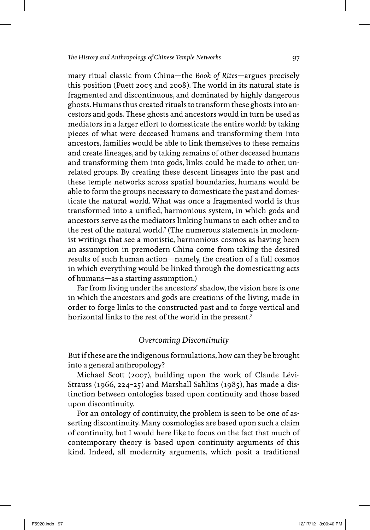mary ritual classic from China—the *Book of Rites*—argues precisely this position (Puett 2005 and 2008). The world in its natural state is fragmented and discontinuous, and dominated by highly dangerous ghosts. Humans thus created rituals to transform these ghosts into ancestors and gods. These ghosts and ancestors would in turn be used as mediators in a larger effort to domesticate the entire world: by taking pieces of what were deceased humans and transforming them into ancestors, families would be able to link themselves to these remains and create lineages, and by taking remains of other deceased humans and transforming them into gods, links could be made to other, unrelated groups. By creating these descent lineages into the past and these temple networks across spatial boundaries, humans would be able to form the groups necessary to domesticate the past and domesticate the natural world. What was once a fragmented world is thus transformed into a unified, harmonious system, in which gods and ancestors serve as the mediators linking humans to each other and to the rest of the natural world.<sup>7</sup> (The numerous statements in modernist writings that see a monistic, harmonious cosmos as having been an assumption in premodern China come from taking the desired results of such human action—namely, the creation of a full cosmos in which everything would be linked through the domesticating acts of humans—as a starting assumption.)

Far from living under the ancestors' shadow, the vision here is one in which the ancestors and gods are creations of the living, made in order to forge links to the constructed past and to forge vertical and horizontal links to the rest of the world in the present.<sup>8</sup>

#### *Overcoming Discontinuity*

But if these are the indigenous formulations, how can they be brought into a general anthropology?

Michael Scott (2007), building upon the work of Claude Lévi-Strauss (1966, 224-25) and Marshall Sahlins (1985), has made a distinction between ontologies based upon continuity and those based upon discontinuity.

For an ontology of continuity, the problem is seen to be one of asserting discontinuity. Many cosmologies are based upon such a claim of continuity, but I would here like to focus on the fact that much of contemporary theory is based upon continuity arguments of this kind. Indeed, all modernity arguments, which posit a traditional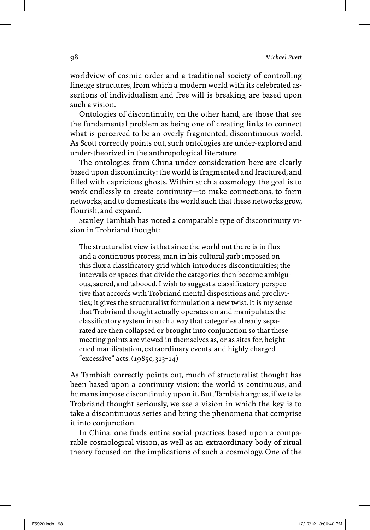worldview of cosmic order and a traditional society of controlling lineage structures, from which a modern world with its celebrated assertions of individualism and free will is breaking, are based upon such a vision.

Ontologies of discontinuity, on the other hand, are those that see the fundamental problem as being one of creating links to connect what is perceived to be an overly fragmented, discontinuous world. As Scott correctly points out, such ontologies are under-explored and under-theorized in the anthropological literature.

The ontologies from China under consideration here are clearly based upon discontinuity: the world is fragmented and fractured, and filled with capricious ghosts. Within such a cosmology, the goal is to work endlessly to create continuity—to make connections, to form networks, and to domesticate the world such that these networks grow, flourish, and expand.

Stanley Tambiah has noted a comparable type of discontinuity vision in Trobriand thought:

The structuralist view is that since the world out there is in flux and a continuous process, man in his cultural garb imposed on this flux a classificatory grid which introduces discontinuities; the intervals or spaces that divide the categories then become ambiguous, sacred, and tabooed. I wish to suggest a classificatory perspective that accords with Trobriand mental dispositions and proclivities; it gives the structuralist formulation a new twist. It is my sense that Trobriand thought actually operates on and manipulates the classificatory system in such a way that categories already separated are then collapsed or brought into conjunction so that these meeting points are viewed in themselves as, or as sites for, heightened manifestation, extraordinary events, and highly charged "excessive" acts. (1985c, 313–14)

As Tambiah correctly points out, much of structuralist thought has been based upon a continuity vision: the world is continuous, and humans impose discontinuity upon it. But, Tambiah argues, if we take Trobriand thought seriously, we see a vision in which the key is to take a discontinuous series and bring the phenomena that comprise it into conjunction.

In China, one finds entire social practices based upon a comparable cosmological vision, as well as an extraordinary body of ritual theory focused on the implications of such a cosmology. One of the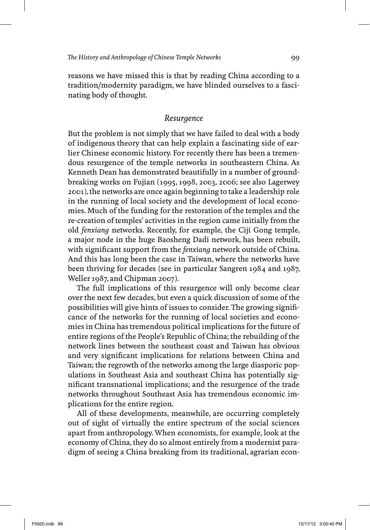reasons we have missed this is that by reading China according to a tradition/modernity paradigm, we have blinded ourselves to a fascinating body of thought.

#### *Resurgence*

But the problem is not simply that we have failed to deal with a body of indigenous theory that can help explain a fascinating side of earlier Chinese economic history. For recently there has been a tremendous resurgence of the temple networks in southeastern China. As Kenneth Dean has demonstrated beautifully in a number of groundbreaking works on Fujian (1995, 1998, 2003, 2006; see also Lagerwey 2001), the networks are once again beginning to take a leadership role in the running of local society and the development of local economies. Much of the funding for the restoration of the temples and the re-creation of temples' activities in the region came initially from the old *fenxiang* networks. Recently, for example, the Ciji Gong temple, a major node in the huge Baosheng Dadi network, has been rebuilt, with significant support from the *fenxiang* network outside of China. And this has long been the case in Taiwan, where the networks have been thriving for decades (see in particular Sangren 1984 and 1987, Weller 1987, and Chipman 2007).

The full implications of this resurgence will only become clear over the next few decades, but even a quick discussion of some of the possibilities will give hints of issues to consider. The growing significance of the networks for the running of local societies and economies in China has tremendous political implications for the future of entire regions of the People's Republic of China; the rebuilding of the network lines between the southeast coast and Taiwan has obvious and very significant implications for relations between China and Taiwan; the regrowth of the networks among the large diasporic populations in Southeast Asia and southeast China has potentially significant transnational implications; and the resurgence of the trade networks throughout Southeast Asia has tremendous economic implications for the entire region.

All of these developments, meanwhile, are occurring completely out of sight of virtually the entire spectrum of the social sciences apart from anthropology. When economists, for example, look at the economy of China, they do so almost entirely from a modernist paradigm of seeing a China breaking from its traditional, agrarian econ-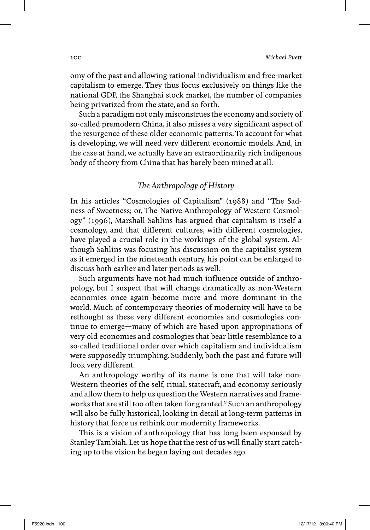omy of the past and allowing rational individualism and free-market capitalism to emerge. They thus focus exclusively on things like the national GDP, the Shanghai stock market, the number of companies being privatized from the state, and so forth.

Such a paradigm not only misconstrues the economy and society of so-called premodern China, it also misses a very significant aspect of the resurgence of these older economic patterns. To account for what is developing, we will need very different economic models. And, in the case at hand, we actually have an extraordinarily rich indigenous body of theory from China that has barely been mined at all.

#### The Anthropology of History

In his articles "Cosmologies of Capitalism" (1988) and "The Sadness of Sweetness; or, The Native Anthropology of Western Cosmology" (1996), Marshall Sahlins has argued that capitalism is itself a cosmology, and that different cultures, with different cosmologies, have played a crucial role in the workings of the global system. Although Sahlins was focusing his discussion on the capitalist system as it emerged in the nineteenth century, his point can be enlarged to discuss both earlier and later periods as well.

Such arguments have not had much influence outside of anthropology, but I suspect that will change dramatically as non-Western economies once again become more and more dominant in the world. Much of contemporary theories of modernity will have to be rethought as these very different economies and cosmologies continue to emerge—many of which are based upon appropriations of very old economies and cosmologies that bear little resemblance to a so-called traditional order over which capitalism and individualism were supposedly triumphing. Suddenly, both the past and future will look very different.

An anthropology worthy of its name is one that will take non-Western theories of the self, ritual, statecraft, and economy seriously and allow them to help us question the Western narratives and frameworks that are still too often taken for granted.<sup>9</sup> Such an anthropology will also be fully historical, looking in detail at long-term patterns in history that force us rethink our modernity frameworks.

This is a vision of anthropology that has long been espoused by Stanley Tambiah. Let us hope that the rest of us will finally start catching up to the vision he began laying out decades ago.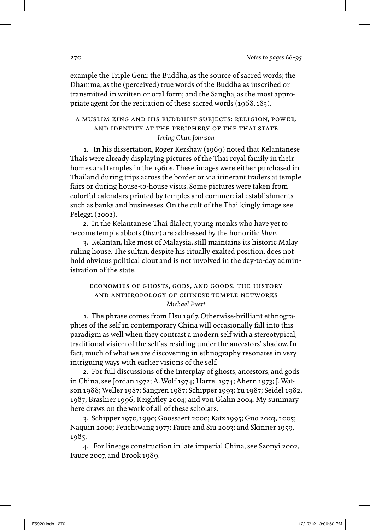example the Triple Gem: the Buddha, as the source of sacred words; the Dhamma, as the (perceived) true words of the Buddha as inscribed or transmitted in written or oral form; and the Sangha, as the most appropriate agent for the recitation of these sacred words (1968, 183).

#### a muslim king and his buddhist subjects: religion, power, and identity at the periphery of the thai state *Irving Chan Johnson*

 1. In his dissertation, Roger Kershaw (1969) noted that Kelantanese Thais were already displaying pictures of the Thai royal family in their homes and temples in the 1960s. These images were either purchased in Thailand during trips across the border or via itinerant traders at temple fairs or during house-to-house visits. Some pictures were taken from colorful calendars printed by temples and commercial establishments such as banks and businesses. On the cult of the Thai kingly image see Peleggi (2002).

 2. In the Kelantanese Thai dialect, young monks who have yet to become temple abbots (*than*) are addressed by the honorific *khun*.

 3. Kelantan, like most of Malaysia, still maintains its historic Malay ruling house. The sultan, despite his ritually exalted position, does not hold obvious political clout and is not involved in the day-to-day administration of the state.

#### economies of ghosts, gods, and goods: the history and anthropology of chinese temple networks *Michael Puett*

 1. The phrase comes from Hsu 1967. Otherwise-brilliant ethnographies of the self in contemporary China will occasionally fall into this paradigm as well when they contrast a modern self with a stereotypical, traditional vision of the self as residing under the ancestors' shadow. In fact, much of what we are discovering in ethnography resonates in very intriguing ways with earlier visions of the self.

 2. For full discussions of the interplay of ghosts, ancestors, and gods in China, see Jordan 1972; A. Wolf 1974; Harrel 1974; Ahern 1973; J. Watson 1988; Weller 1987; Sangren 1987; Schipper 1993; Yu 1987; Seidel 1982, 1987; Brashier 1996; Keightley 2004; and von Glahn 2004. My summary here draws on the work of all of these scholars.

 3. Schipper 1970, 1990; Goossaert 2000; Katz 1995; Guo 2003, 2005; Naquin 2000; Feuchtwang 1977; Faure and Siu 2003; and Skinner 1959, 1985.

 4. For lineage construction in late imperial China, see Szonyi 2002, Faure 2007, and Brook 1989.